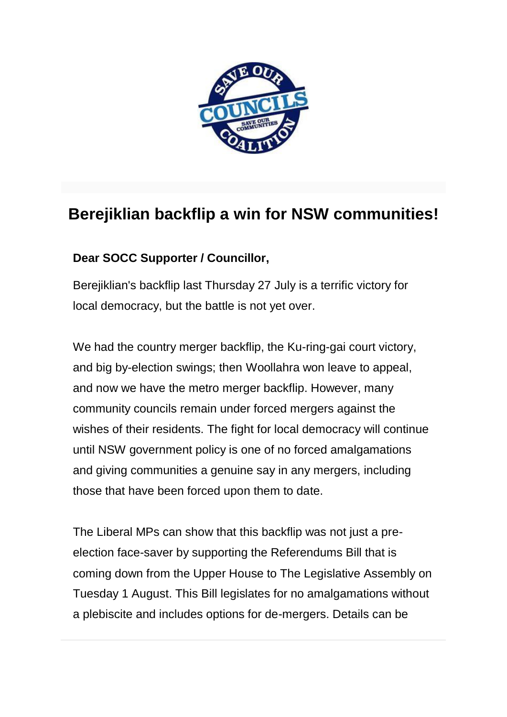

## **Berejiklian backflip a win for NSW communities!**

## **Dear SOCC Supporter / Councillor,**

Berejiklian's backflip last Thursday 27 July is a terrific victory for local democracy, but the battle is not yet over.

We had the country merger backflip, the Ku-ring-gai court victory, and big by-election swings; then Woollahra won leave to appeal, and now we have the metro merger backflip. However, many community councils remain under forced mergers against the wishes of their residents. The fight for local democracy will continue until NSW government policy is one of no forced amalgamations and giving communities a genuine say in any mergers, including those that have been forced upon them to date.

The Liberal MPs can show that this backflip was not just a preelection face-saver by supporting the Referendums Bill that is coming down from the Upper House to The Legislative Assembly on Tuesday 1 August. This Bill legislates for no amalgamations without a plebiscite and includes options for de-mergers. Details can be